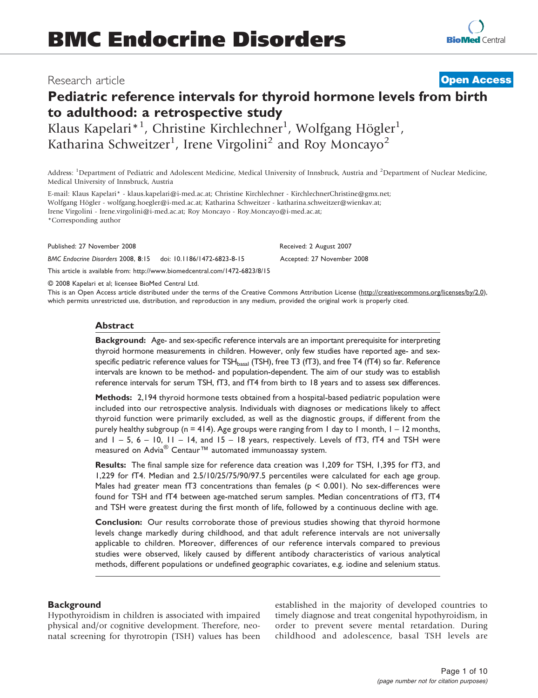# Research article

# Pediatric reference intervals for thyroid hormone levels from birth to adulthood: a retrospective study

Klaus Kapelari\*<sup>1</sup>, Christine Kirchlechner<sup>1</sup>, Wolfgang Högler<sup>1</sup>, Katharina Schweitzer<sup>1</sup>, Irene Virgolini<sup>2</sup> and Roy Moncayo<sup>2</sup>

Address: <sup>1</sup>Department of Pediatric and Adolescent Medicine, Medical University of Innsbruck, Austria and <sup>2</sup>Department of Nuclear Medicine, Medical University of Innsbruck, Austria

E-mail: Klaus Kapelari\* - klaus.kapelari@i-med.ac.at; Christine Kirchlechner - KirchlechnerChristine@gmx.net; Wolfgang Högler - wolfgang.hoegler@i-med.ac.at; Katharina Schweitzer - katharina.schweitzer@wienkav.at; Irene Virgolini - Irene.virgolini@i-med.ac.at; Roy Moncayo - Roy.Moncayo@i-med.ac.at; \*Corresponding author

Published: 27 November 2008 **Received: 2 August 2007** Received: 2 August 2007

BMC Endocrine Disorders 2008, 8:15 doi: 10.1186/1472-6823-8-15 Accepted: 27 November 2008

This article is available from: http://www.biomedcentral.com/1472-6823/8/15

© 2008 Kapelari et al; licensee BioMed Central Ltd.

This is an Open Access article distributed under the terms of the Creative Commons Attribution License [\(http://creativecommons.org/licenses/by/2.0\),](http://creativecommons.org/licenses/by/2.0) [which permits unrestricted use, distribution, and reproduction in any medium, provided the original work is properly cited.](http://creativecommons.org/licenses/by/2.0)

# Abstract

Background: Age- and sex-specific reference intervals are an important prerequisite for interpreting thyroid hormone measurements in children. However, only few studies have reported age- and sexspecific pediatric reference values for TSH<sub>basal</sub> (TSH), free T3 (fT3), and free T4 (fT4) so far. Reference intervals are known to be method- and population-dependent. The aim of our study was to establish reference intervals for serum TSH, fT3, and fT4 from birth to 18 years and to assess sex differences.

Methods: 2,194 thyroid hormone tests obtained from a hospital-based pediatric population were included into our retrospective analysis. Individuals with diagnoses or medications likely to affect thyroid function were primarily excluded, as well as the diagnostic groups, if different from the purely healthy subgroup ( $n = 414$ ). Age groups were ranging from 1 day to 1 month,  $1 - 12$  months, and  $1 - 5$ ,  $6 - 10$ ,  $11 - 14$ , and  $15 - 18$  years, respectively. Levels of fT3, fT4 and TSH were measured on Advia<sup>®</sup> Centaur<sup>™</sup> automated immunoassay system.

Results: The final sample size for reference data creation was 1,209 for TSH, 1,395 for fT3, and 1,229 for fT4. Median and 2.5/10/25/75/90/97.5 percentiles were calculated for each age group. Males had greater mean  $fT3$  concentrations than females ( $p \le 0.001$ ). No sex-differences were found for TSH and fT4 between age-matched serum samples. Median concentrations of fT3, fT4 and TSH were greatest during the first month of life, followed by a continuous decline with age.

Conclusion: Our results corroborate those of previous studies showing that thyroid hormone levels change markedly during childhood, and that adult reference intervals are not universally applicable to children. Moreover, differences of our reference intervals compared to previous studies were observed, likely caused by different antibody characteristics of various analytical methods, different populations or undefined geographic covariates, e.g. iodine and selenium status.

# **Background**

Hypothyroidism in children is associated with impaired physical and/or cognitive development. Therefore, neonatal screening for thyrotropin (TSH) values has been established in the majority of developed countries to timely diagnose and treat congenital hypothyroidism, in order to prevent severe mental retardation. During childhood and adolescence, basal TSH levels are

**[Open Access](http://www.biomedcentral.com/info/about/charter/)**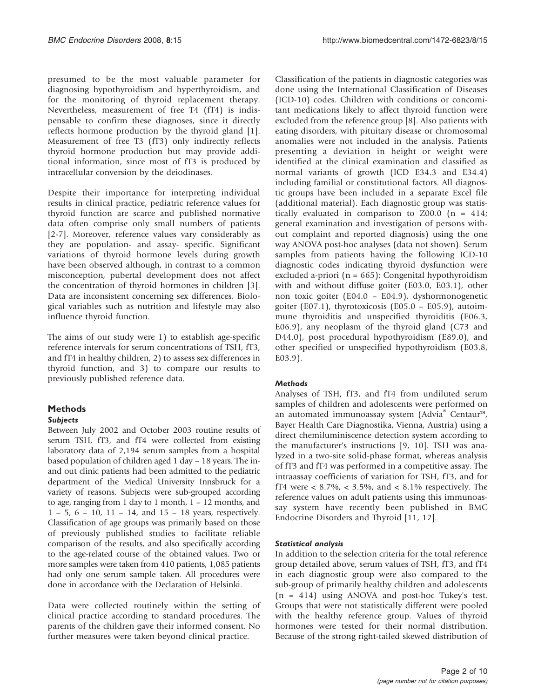presumed to be the most valuable parameter for diagnosing hypothyroidism and hyperthyroidism, and for the monitoring of thyroid replacement therapy. Nevertheless, measurement of free T4 (fT4) is indispensable to confirm these diagnoses, since it directly reflects hormone production by the thyroid gland [[1](#page-8-0)]. Measurement of free T3 (fT3) only indirectly reflects thyroid hormone production but may provide additional information, since most of fT3 is produced by intracellular conversion by the deiodinases.

Despite their importance for interpreting individual results in clinical practice, pediatric reference values for thyroid function are scarce and published normative data often comprise only small numbers of patients [[2-7\]](#page-8-0). Moreover, reference values vary considerably as they are population- and assay- specific. Significant variations of thyroid hormone levels during growth have been observed although, in contrast to a common misconception, pubertal development does not affect the concentration of thyroid hormones in children [[3](#page-8-0)]. Data are inconsistent concerning sex differences. Biological variables such as nutrition and lifestyle may also influence thyroid function.

The aims of our study were 1) to establish age-specific reference intervals for serum concentrations of TSH, fT3, and fT4 in healthy children, 2) to assess sex differences in thyroid function, and 3) to compare our results to previously published reference data.

# Methods

# Subjects

Between July 2002 and October 2003 routine results of serum TSH, fT3, and fT4 were collected from existing laboratory data of 2,194 serum samples from a hospital based population of children aged 1 day – 18 years. The inand out clinic patients had been admitted to the pediatric department of the Medical University Innsbruck for a variety of reasons. Subjects were sub-grouped according to age, ranging from 1 day to 1 month, 1 – 12 months, and 1 – 5, 6 – 10, 11 – 14, and 15 – 18 years, respectively. Classification of age groups was primarily based on those of previously published studies to facilitate reliable comparison of the results, and also specifically according to the age-related course of the obtained values. Two or more samples were taken from 410 patients, 1,085 patients had only one serum sample taken. All procedures were done in accordance with the Declaration of Helsinki.

Data were collected routinely within the setting of clinical practice according to standard procedures. The parents of the children gave their informed consent. No further measures were taken beyond clinical practice.

Classification of the patients in diagnostic categories was done using the International Classification of Diseases (ICD-10) codes. Children with conditions or concomitant medications likely to affect thyroid function were excluded from the reference group [[8\]](#page-8-0). Also patients with eating disorders, with pituitary disease or chromosomal anomalies were not included in the analysis. Patients presenting a deviation in height or weight were identified at the clinical examination and classified as normal variants of growth (ICD E34.3 and E34.4) including familial or constitutional factors. All diagnostic groups have been included in a separate Excel file (additional material). Each diagnostic group was statistically evaluated in comparison to  $Z00.0$  (n = 414; general examination and investigation of persons without complaint and reported diagnosis) using the one way ANOVA post-hoc analyses (data not shown). Serum samples from patients having the following ICD-10 diagnostic codes indicating thyroid dysfunction were excluded a-priori (n = 665): Congenital hypothyroidism with and without diffuse goiter (E03.0, E03.1), other non toxic goiter (E04.0 – E04.9), dyshormonogenetic goiter (E07.1), thyrotoxicosis (E05.0 – E05.9), autoimmune thyroiditis and unspecified thyroiditis (E06.3, E06.9), any neoplasm of the thyroid gland (C73 and D44.0), post procedural hypothyroidism (E89.0), and other specified or unspecified hypothyroidism (E03.8, E03.9).

# **Methods**

Analyses of TSH, fT3, and fT4 from undiluted serum samples of children and adolescents were performed on an automated immunoassay system (Advia® Centaur™, Bayer Health Care Diagnostika, Vienna, Austria) using a direct chemiluminiscence detection system according to the manufacturer's instructions [[9](#page-8-0), [10\]](#page-8-0). TSH was analyzed in a two-site solid-phase format, whereas analysis of fT3 and fT4 was performed in a competitive assay. The intraassay coefficients of variation for TSH, fT3, and for fT4 were  $< 8.7\%$ ,  $< 3.5\%$ , and  $< 8.1\%$  respectively. The reference values on adult patients using this immunoassay system have recently been published in BMC Endocrine Disorders and Thyroid [\[11](#page-8-0), [12\]](#page-8-0).

# Statistical analysis

In addition to the selection criteria for the total reference group detailed above, serum values of TSH, fT3, and fT4 in each diagnostic group were also compared to the sub-group of primarily healthy children and adolescents (n = 414) using ANOVA and post-hoc Tukey's test. Groups that were not statistically different were pooled with the healthy reference group. Values of thyroid hormones were tested for their normal distribution. Because of the strong right-tailed skewed distribution of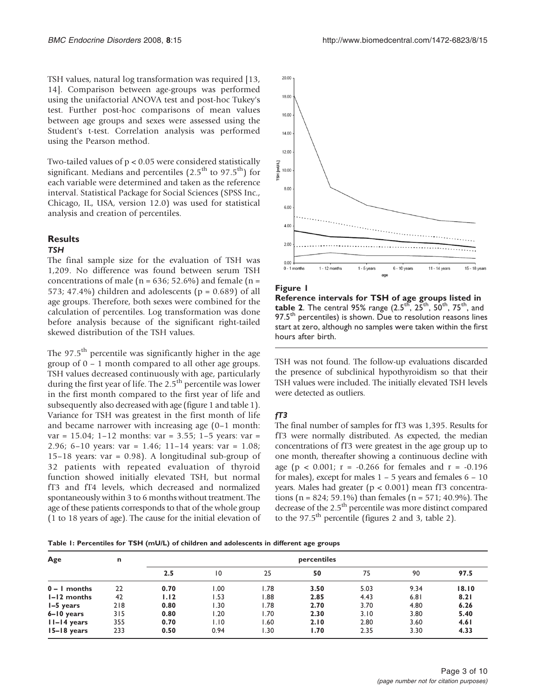TSH values, natural log transformation was required [[13,](#page-8-0) [14](#page-8-0)]. Comparison between age-groups was performed using the unifactorial ANOVA test and post-hoc Tukey's test. Further post-hoc comparisons of mean values between age groups and sexes were assessed using the Student's t-test. Correlation analysis was performed using the Pearson method.

Two-tailed values of p < 0.05 were considered statistically significant. Medians and percentiles  $(2.5<sup>th</sup>$  to 97.5<sup>th</sup>) for each variable were determined and taken as the reference interval. Statistical Package for Social Sciences (SPSS Inc., Chicago, IL, USA, version 12.0) was used for statistical analysis and creation of percentiles.

#### **Results**

#### **TSH**

The final sample size for the evaluation of TSH was 1,209. No difference was found between serum TSH concentrations of male ( $n = 636$ ; 52.6%) and female ( $n =$ 573; 47.4%) children and adolescents ( $p = 0.689$ ) of all age groups. Therefore, both sexes were combined for the calculation of percentiles. Log transformation was done before analysis because of the significant right-tailed skewed distribution of the TSH values.

The  $97.5<sup>th</sup>$  percentile was significantly higher in the age group of 0 – 1 month compared to all other age groups. TSH values decreased continuously with age, particularly during the first year of life. The 2.5<sup>th</sup> percentile was lower in the first month compared to the first year of life and subsequently also decreased with age (figure 1 and table 1). Variance for TSH was greatest in the first month of life and became narrower with increasing age (0–1 month: var = 15.04; 1–12 months: var = 3.55; 1–5 years: var = 2.96; 6–10 years: var = 1.46; 11–14 years: var = 1.08; 15–18 years: var = 0.98). A longitudinal sub-group of 32 patients with repeated evaluation of thyroid function showed initially elevated TSH, but normal fT3 and fT4 levels, which decreased and normalized spontaneously within 3 to 6 months without treatment. The age of these patients corresponds to that of the whole group (1 to 18 years of age). The cause for the initial elevation of



#### Figure 1

Reference intervals for TSH of age groups listed in **table 2.** The central 95% range  $(2.5^{th}, 25^{th}, 50^{th}, 75^{th},$  and 97.5<sup>th</sup> percentiles) is shown. Due to resolution reasons lines start at zero, although no samples were taken within the first hours after birth.

TSH was not found. The follow-up evaluations discarded the presence of subclinical hypothyroidism so that their TSH values were included. The initially elevated TSH levels were detected as outliers.

# $fT3$

The final number of samples for fT3 was 1,395. Results for fT3 were normally distributed. As expected, the median concentrations of fT3 were greatest in the age group up to one month, thereafter showing a continuous decline with age ( $p < 0.001$ ;  $r = -0.266$  for females and  $r = -0.196$ for males), except for males  $1 - 5$  years and females  $6 - 10$ years. Males had greater ( $p < 0.001$ ) mean fT3 concentrations (n = 824; 59.1%) than females (n = 571; 40.9%). The decrease of the 2.5<sup>th</sup> percentile was more distinct compared to the  $97.5<sup>th</sup>$  percentile (figures [2](#page-3-0) and [3](#page-3-0), table 2).

Table 1: Percentiles for TSH (mU/L) of children and adolescents in different age groups

| Age             | n   |      |      |      | percentiles |      |      |       |
|-----------------|-----|------|------|------|-------------|------|------|-------|
|                 |     | 2.5  | 10   | 25   | 50          | 75   | 90   | 97.5  |
| $0 - I$ months  | 22  | 0.70 | 00.1 | .78  | 3.50        | 5.03 | 9.34 | 18.10 |
| I-12 months     | 42  | 1.12 | 1.53 | .88  | 2.85        | 4.43 | 6.81 | 8.21  |
| $I-5$ years     | 218 | 0.80 | 1.30 | 1.78 | 2.70        | 3.70 | 4.80 | 6.26  |
| $6 - 10$ years  | 315 | 0.80 | 1.20 | .70  | 2.30        | 3.10 | 3.80 | 5.40  |
| $II-I4 years$   | 355 | 0.70 | 1.10 | .60  | 2.10        | 2.80 | 3.60 | 4.61  |
| $15 - 18$ years | 233 | 0.50 | 0.94 | .30  | 1.70        | 2.35 | 3.30 | 4.33  |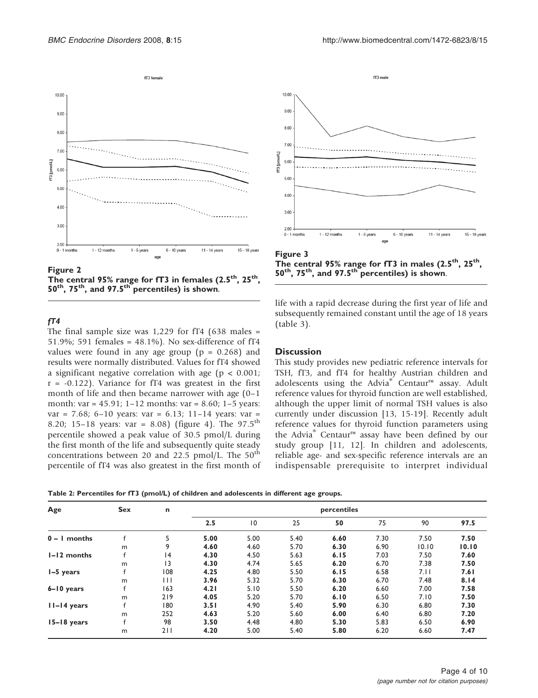<span id="page-3-0"></span>

Figure 2 The central 95% range for fT3 in females  $(2.5<sup>th</sup>, 25<sup>th</sup>)$  $50<sup>th</sup>$ , 75<sup>th</sup>, and 97.5<sup>th</sup> percentiles) is shown.

# $fT4$

The final sample size was  $1,229$  for fT4 (638 males = 51.9%; 591 females = 48.1%). No sex-difference of fT4 values were found in any age group ( $p = 0.268$ ) and results were normally distributed. Values for fT4 showed a significant negative correlation with age (p < 0.001;  $r = -0.122$ ). Variance for fT4 was greatest in the first month of life and then became narrower with age (0–1 month: var = 45.91; 1–12 months: var = 8.60; 1–5 years: var = 7.68; 6–10 years: var = 6.13; 11–14 years: var = 8.20; 15-18 years: var = 8.08) (figure [4](#page-4-0)). The 97.5<sup>th</sup> percentile showed a peak value of 30.5 pmol/L during the first month of the life and subsequently quite steady concentrations between 20 and 22.5 pmol/L. The  $50<sup>th</sup>$ percentile of fT4 was also greatest in the first month of



The central 95% range for  $fT3$  in males (2.5<sup>th</sup>, 25<sup>th</sup>,  $50<sup>th</sup>$ , 75<sup>th</sup>, and 97.5<sup>th</sup> percentiles) is shown.

life with a rapid decrease during the first year of life and subsequently remained constant until the age of 18 years (table [3\)](#page-4-0).

# **Discussion**

This study provides new pediatric reference intervals for TSH, fT3, and fT4 for healthy Austrian children and adolescents using the Advia® Centaur™ assay. Adult reference values for thyroid function are well established, although the upper limit of normal TSH values is also currently under discussion [[13, 15-19\]](#page-8-0). Recently adult reference values for thyroid function parameters using the Advia® Centaur™ assay have been defined by our study group [\[11](#page-8-0), [12](#page-8-0)]. In children and adolescents, reliable age- and sex-specific reference intervals are an indispensable prerequisite to interpret individual

Table 2: Percentiles for fT3 (pmol/L) of children and adolescents in different age groups.

| Age            | <b>Sex</b> | n   | percentiles |                 |      |      |      |       |       |
|----------------|------------|-----|-------------|-----------------|------|------|------|-------|-------|
|                |            |     | 2.5         | $\overline{10}$ | 25   | 50   | 75   | 90    | 97.5  |
| $0 - 1$ months |            | 5   | 5.00        | 5.00            | 5.40 | 6.60 | 7.30 | 7.50  | 7.50  |
|                | m          | 9   | 4.60        | 4.60            | 5.70 | 6.30 | 6.90 | 10.10 | 10.10 |
| I-12 months    |            | 4   | 4.30        | 4.50            | 5.63 | 6.15 | 7.03 | 7.50  | 7.60  |
|                | m          | 3   | 4.30        | 4.74            | 5.65 | 6.20 | 6.70 | 7.38  | 7.50  |
| I-5 years      |            | 108 | 4.25        | 4.80            | 5.50 | 6.15 | 6.58 | 7.11  | 7.61  |
|                | m          | Ħ   | 3.96        | 5.32            | 5.70 | 6.30 | 6.70 | 7.48  | 8.14  |
| $6 - 10$ years |            | 163 | 4.21        | 5.10            | 5.50 | 6.20 | 6.60 | 7.00  | 7.58  |
|                | m          | 219 | 4.05        | 5.20            | 5.70 | 6.10 | 6.50 | 7.10  | 7.50  |
| $II-I4 years$  |            | 180 | 3.51        | 4.90            | 5.40 | 5.90 | 6.30 | 6.80  | 7.30  |
|                | m          | 252 | 4.63        | 5.20            | 5.60 | 6.00 | 6.40 | 6.80  | 7.20  |
| $15-18$ years  |            | 98  | 3.50        | 4.48            | 4.80 | 5.30 | 5.83 | 6.50  | 6.90  |
|                | m          | 211 | 4.20        | 5.00            | 5.40 | 5.80 | 6.20 | 6.60  | 7.47  |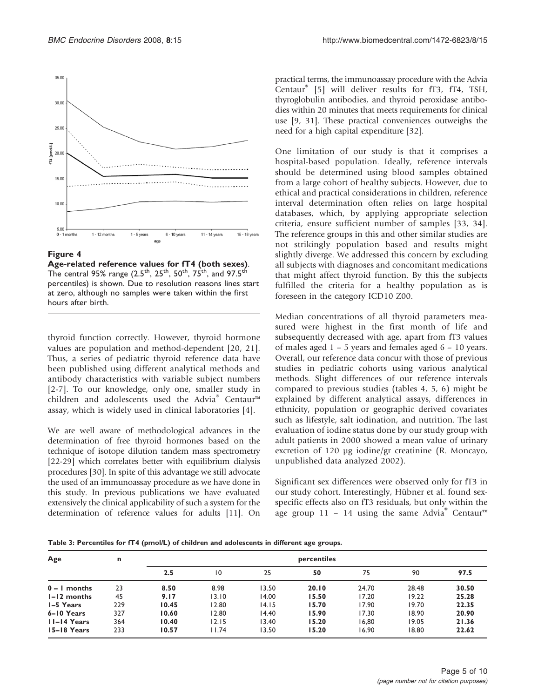<span id="page-4-0"></span>

#### Figure 4

Age-related reference values for fT4 (both sexes). The central 95% range (2.5<sup>th</sup>, 25<sup>th</sup>, 50<sup>th</sup>, 75<sup>th</sup>, and 97.5<sup>th</sup> percentiles) is shown. Due to resolution reasons lines start at zero, although no samples were taken within the first hours after birth.

thyroid function correctly. However, thyroid hormone values are population and method-dependent [\[20](#page-8-0), [21](#page-8-0)]. Thus, a series of pediatric thyroid reference data have been published using different analytical methods and antibody characteristics with variable subject numbers [[2-7\]](#page-8-0). To our knowledge, only one, smaller study in children and adolescents used the Advia® Centaur™ assay, which is widely used in clinical laboratories [\[4\]](#page-8-0).

We are well aware of methodological advances in the determination of free thyroid hormones based on the technique of isotope dilution tandem mass spectrometry [\[22-29](#page-8-0)] which correlates better with equilibrium dialysis procedures [[30](#page-9-0)]. In spite of this advantage we still advocate the used of an immunoassay procedure as we have done in this study. In previous publications we have evaluated extensively the clinical applicability of such a system for the determination of reference values for adults [\[11\]](#page-8-0). On

practical terms, the immunoassay procedure with the Advia Centaur® [[5](#page-8-0)] will deliver results for fT3, fT4, TSH, thyroglobulin antibodies, and thyroid peroxidase antibodies within 20 minutes that meets requirements for clinical use [[9](#page-8-0), [31\]](#page-9-0). These practical conveniences outweighs the need for a high capital expenditure [\[32\]](#page-9-0).

One limitation of our study is that it comprises a hospital-based population. Ideally, reference intervals should be determined using blood samples obtained from a large cohort of healthy subjects. However, due to ethical and practical considerations in children, reference interval determination often relies on large hospital databases, which, by applying appropriate selection criteria, ensure sufficient number of samples [\[33](#page-9-0), [34](#page-9-0)]. The reference groups in this and other similar studies are not strikingly population based and results might slightly diverge. We addressed this concern by excluding all subjects with diagnoses and concomitant medications that might affect thyroid function. By this the subjects fulfilled the criteria for a healthy population as is foreseen in the category ICD10 Z00.

Median concentrations of all thyroid parameters measured were highest in the first month of life and subsequently decreased with age, apart from fT3 values of males aged 1 – 5 years and females aged 6 – 10 years. Overall, our reference data concur with those of previous studies in pediatric cohorts using various analytical methods. Slight differences of our reference intervals compared to previous studies (tables [4,](#page-5-0) [5](#page-6-0), [6](#page-7-0)) might be explained by different analytical assays, differences in ethnicity, population or geographic derived covariates such as lifestyle, salt iodination, and nutrition. The last evaluation of iodine status done by our study group with adult patients in 2000 showed a mean value of urinary excretion of 120 μg iodine/gr creatinine (R. Moncayo, unpublished data analyzed 2002).

Significant sex differences were observed only for fT3 in our study cohort. Interestingly, Hübner et al. found sexspecific effects also on fT3 residuals, but only within the age group 11 – 14 using the same Advia<sup>®</sup> Centaur<sup>™</sup>

Table 3: Percentiles for fT4 (pmol/L) of children and adolescents in different age groups.

| Age              | n   |       |       |       | percentiles |       |       |       |
|------------------|-----|-------|-------|-------|-------------|-------|-------|-------|
|                  |     | 2.5   | 10    | 25    | 50          | 75    | 90    | 97.5  |
| $0 - I$ months   | 23  | 8.50  | 8.98  | 13.50 | 20.10       | 24.70 | 28.48 | 30.50 |
| $l - l$ 2 months | 45  | 9.17  | 13.10 | 14.00 | 15.50       | 17.20 | 19.22 | 25.28 |
| I-5 Years        | 229 | 10.45 | 12.80 | 14.15 | 15.70       | 17.90 | 19.70 | 22.35 |
| 6-10 Years       | 327 | 10.60 | 12.80 | 14.40 | 15.90       | 17.30 | 18.90 | 20.90 |
| II-I4 Years      | 364 | 10.40 | 12.15 | 13.40 | 15.20       | 16.80 | 19.05 | 21.36 |
| 15–18 Years      | 233 | 10.57 | 11.74 | 13.50 | 15.20       | 16.90 | 18.80 | 22.62 |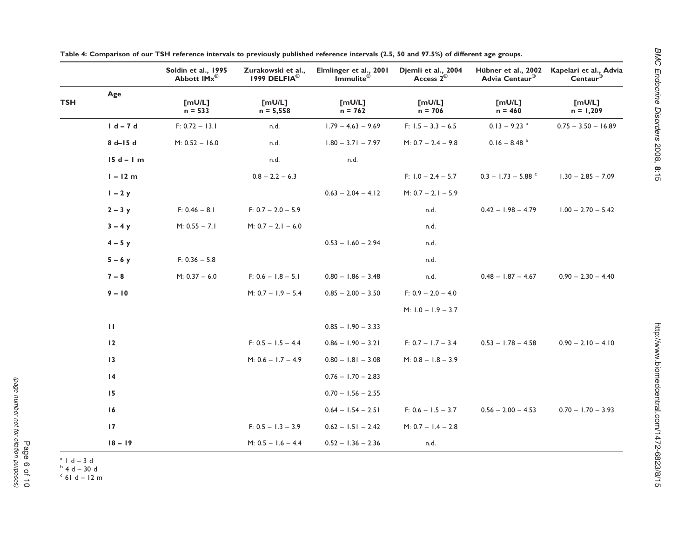|                 | $n = 533$        | $n = 5,558$          | $n = 762$            | $n = 706$            | $n = 460$                                                      | $n = 1,209$                               |
|-----------------|------------------|----------------------|----------------------|----------------------|----------------------------------------------------------------|-------------------------------------------|
| $1 d - 7 d$     | $F: 0.72 - 13.1$ | n.d.                 | $1.79 - 4.63 - 9.69$ | $F: 1.5 - 3.3 - 6.5$ | $0.13 - 9.23$ <sup>a</sup>                                     | $0.75 - 3.50 - 16.89$                     |
| $8 d - 15 d$    | $M: 0.52 - 16.0$ | n.d.                 | $1.80 - 3.71 - 7.97$ | $M: 0.7 - 2.4 - 9.8$ | $0.16 - 8.48$                                                  |                                           |
| $15d - 1m$      |                  | n.d.                 | n.d.                 |                      |                                                                |                                           |
| $1 - 12 m$      |                  | $0.8 - 2.2 - 6.3$    |                      | F: $1.0 - 2.4 - 5.7$ | $0.3 - 1.73 - 5.88$                                            | $1.30 - 2.85 - 7.09$                      |
| $1 - 2y$        |                  |                      | $0.63 - 2.04 - 4.12$ | $M: 0.7 - 2.1 - 5.9$ |                                                                |                                           |
| $2 - 3y$        | $F: 0.46 - 8.1$  | $F: 0.7 - 2.0 - 5.9$ |                      | n.d.                 | $0.42 - 1.98 - 4.79$                                           | $1.00 - 2.70 - 5.42$                      |
| $3 - 4y$        | $M: 0.55 - 7.1$  | $M: 0.7 - 2.1 - 6.0$ |                      | n.d.                 |                                                                |                                           |
| $4 - 5y$        |                  |                      | $0.53 - 1.60 - 2.94$ | n.d.                 |                                                                |                                           |
| $5 - 6y$        | $F: 0.36 - 5.8$  |                      |                      | n.d.                 |                                                                |                                           |
| $7 - 8$         | $M: 0.37 - 6.0$  | $F: 0.6 - 1.8 - 5.1$ | $0.80 - 1.86 - 3.48$ | n.d.                 |                                                                | $0.48 - 1.87 - 4.67$ $0.90 - 2.30 - 4.40$ |
| $9 - 10$        |                  | M: $0.7 - 1.9 - 5.4$ | $0.85 - 2.00 - 3.50$ | $F: 0.9 - 2.0 - 4.0$ |                                                                |                                           |
|                 |                  |                      |                      | M: $1.0 - 1.9 - 3.7$ |                                                                |                                           |
| $\mathbf{H}$    |                  |                      | $0.85 - 1.90 - 3.33$ |                      |                                                                |                                           |
| $\overline{12}$ |                  | $F: 0.5 - 1.5 - 4.4$ | $0.86 - 1.90 - 3.21$ |                      | F: $0.7 - 1.7 - 3.4$ $0.53 - 1.78 - 4.58$ $0.90 - 2.10 - 4.10$ |                                           |
| $\overline{13}$ |                  | M: $0.6 - 1.7 - 4.9$ | $0.80 - 1.81 - 3.08$ | $M: 0.8 - 1.8 - 3.9$ |                                                                |                                           |
| $\overline{14}$ |                  |                      | $0.76 - 1.70 - 2.83$ |                      |                                                                |                                           |
| 15              |                  |                      | $0.70 - 1.56 - 2.55$ |                      |                                                                |                                           |
| 16              |                  |                      | $0.64 - 1.54 - 2.51$ |                      | F: $0.6 - 1.5 - 3.7$ $0.56 - 2.00 - 4.53$ $0.70 - 1.70 - 3.93$ |                                           |
| 17              |                  | $F: 0.5 - 1.3 - 3.9$ | $0.62 - 1.51 - 2.42$ | M: $0.7 - 1.4 - 2.8$ |                                                                |                                           |
| $18 - 19$       |                  | M: $0.5 - 1.6 - 4.4$ | $0.52 - 1.36 - 2.36$ | n.d.                 |                                                                |                                           |

<span id="page-5-0"></span>

| Table 4: Comparison of our TSH reference intervals to previously published reference intervals (2.5, 50 and 97.5%) of different age groups. |  |  |  |  |  |
|---------------------------------------------------------------------------------------------------------------------------------------------|--|--|--|--|--|
|---------------------------------------------------------------------------------------------------------------------------------------------|--|--|--|--|--|

Zurakowski et al., 1999 DELFIA®

Soldin et al., 1995 Abbott IMx®

Age

Elmlinger et al., 2001 Immulite® Djemli et al., 2004 Access 2® Hübner et al., 2002 Kapelari et al., Advia Advia Centaur® Centaur® TSH [mU/L] [mU/L] [mU/L] [mU/L] [mU/L] [mU/L] n = 533 n = 5,558 n = 762 n = 706 n = 460 n = 1,209 1 d – 7 d F: 0.72 – 13.1 n.d. 1.79 – 4.63 – 9.69 F: 1.5 – 3.3 – 6.5 0.13 – 9.23 <sup>a</sup> 0.75 – 3.50 – 16.89 **8 d–15 d** M: 0.52 – 16.0 n.d. 1.80 – 3.71 – 7.97 M: 0.7 – 2.4 – 9.8 0.16 – 8.48 b  $1 - 12$  m  $0.8 - 2.2 - 6.3$  F:  $1.0 - 2.4 - 5.7$   $0.3 - 1.73 - 5.88$   $0.3 - 2.85 - 7.09$ 2 – 3 y F: 0.46 – 8.1 F: 0.7 – 2.0 – 5.9 n.d. 0.42 – 1.98 – 4.79 1.00 – 2.70 – 5.42 7 – 8 M: 0.37 – 6.0 F: 0.6 – 1.8 – 5.1 0.80 – 1.86 – 3.48 n.d. 0.48 – 1.87 – 4.67 0.90 – 2.30 – 4.40 M: 1.0 – 1.9 – 3.7 12 F: 0.5 – 1.5 – 4.4 0.86 – 1.90 – 3.21 F: 0.7 – 1.7 – 3.4 0.53 – 1.78 – 4.58 0.90 – 2.10 – 4.10

BMC

Endocrine

Disorders

2008,

8:15<br>6:15

 $a^{a}$  | d – 3 d<br>  $b^{b}$  4 d – 30 d<br>  $c^{c}$  6 d – 12 m

http://www.biomedcentral.com/1472-6823/8/15 http://www.biomedcentral.com/1472-6823/8/15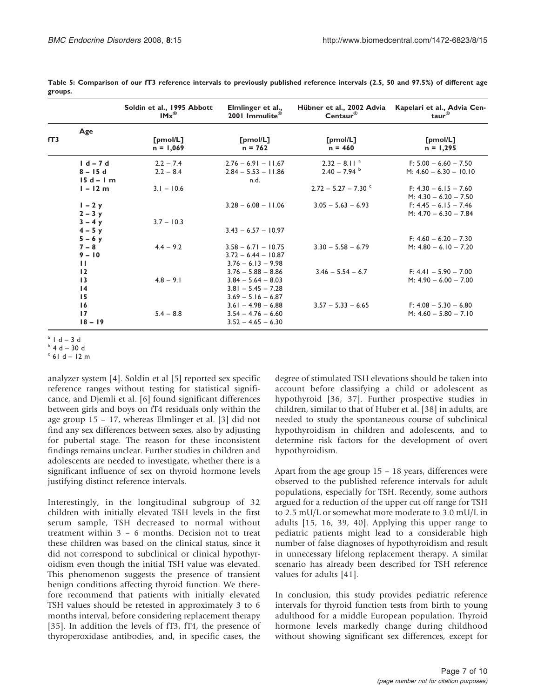|                 |                                             | Soldin et al., 1995 Abbott<br>$IMx^{\circledR}$ | Elmlinger et al.,<br>2001 Immulite <sup>®</sup>                                              | Hübner et al., 2002 Advia<br>$Centaur^{\otimes}$ | Kapelari et al., Advia Cen-<br>taur $^{\circledR}$                            |
|-----------------|---------------------------------------------|-------------------------------------------------|----------------------------------------------------------------------------------------------|--------------------------------------------------|-------------------------------------------------------------------------------|
| fT <sub>3</sub> | Age                                         | [pmol/L]<br>$n = 1,069$                         | [pmol/L]<br>$n = 762$                                                                        | [pmol/L]<br>$n = 460$                            | [pmol/L]<br>$n = 1,295$                                                       |
|                 | $1 d - 7 d$<br>$8 - 15d$<br>$15d - 1m$      | $2.2 - 7.4$<br>$2.2 - 8.4$                      | $2.76 - 6.91 - 11.67$<br>$2.84 - 5.53 - 11.86$<br>n.d.                                       | $2.32 - 8.11$ <sup>a</sup><br>$2.40 - 7.94$      | $F: 5.00 - 6.60 - 7.50$<br>M: $4.60 - 6.30 - 10.10$                           |
|                 | $l - 12m$<br>$I - 2y$                       | $3.1 - 10.6$                                    | $3.28 - 6.08 - 11.06$                                                                        | $2.72 - 5.27 - 7.30$ °<br>$3.05 - 5.63 - 6.93$   | $F: 4.30 - 6.15 - 7.60$<br>M: $4.30 - 6.20 - 7.50$<br>$F: 4.45 - 6.15 - 7.46$ |
|                 | $2 - 3y$<br>$3 - 4y$<br>$4 - 5y$            | $3.7 - 10.3$                                    | $3.43 - 6.57 - 10.97$                                                                        |                                                  | M: $4.70 - 6.30 - 7.84$                                                       |
|                 | $5 - 6y$<br>$7 - 8$<br>$9 - 10$             | $4.4 - 9.2$                                     | $3.58 - 6.71 - 10.75$<br>$3.72 - 6.44 - 10.87$                                               | $3.30 - 5.58 - 6.79$                             | $F: 4.60 - 6.20 - 7.30$<br>M: $4.80 - 6.10 - 7.20$                            |
|                 | $\mathbf{H}$<br>12<br>13<br>$\overline{14}$ | $4.8 - 9.1$                                     | $3.76 - 6.13 - 9.98$<br>$3.76 - 5.88 - 8.86$<br>$3.84 - 5.64 - 8.03$<br>$3.81 - 5.45 - 7.28$ | $3.46 - 5.54 - 6.7$                              | $F: 4.41 - 5.90 - 7.00$<br>$M: 4.90 - 6.00 - 7.00$                            |
|                 | 15<br>16<br>17<br>$18 - 19$                 | $5.4 - 8.8$                                     | $3.69 - 5.16 - 6.87$<br>$3.61 - 4.98 - 6.88$<br>$3.54 - 4.76 - 6.60$<br>$3.52 - 4.65 - 6.30$ | $3.57 - 5.33 - 6.65$                             | $F: 4.08 - 5.30 - 6.80$<br>M: $4.60 - 5.80 - 7.10$                            |

<span id="page-6-0"></span>Table 5: Comparison of our fT3 reference intervals to previously published reference intervals (2.5, 50 and 97.5%) of different age groups.

 $a + b + d - 3d$ <br>  $b + d - 30d$ <br>  $c + 6d - 12m$ 

analyzer system [[4](#page-8-0)]. Soldin et al [\[5\]](#page-8-0) reported sex specific reference ranges without testing for statistical significance, and Djemli et al. [[6](#page-8-0)] found significant differences between girls and boys on fT4 residuals only within the age group 15 – 17, whereas Elmlinger et al. [[3](#page-8-0)] did not find any sex differences between sexes, also by adjusting for pubertal stage. The reason for these inconsistent findings remains unclear. Further studies in children and adolescents are needed to investigate, whether there is a significant influence of sex on thyroid hormone levels justifying distinct reference intervals.

Interestingly, in the longitudinal subgroup of 32 children with initially elevated TSH levels in the first serum sample, TSH decreased to normal without treatment within 3 – 6 months. Decision not to treat these children was based on the clinical status, since it did not correspond to subclinical or clinical hypothyroidism even though the initial TSH value was elevated. This phenomenon suggests the presence of transient benign conditions affecting thyroid function. We therefore recommend that patients with initially elevated TSH values should be retested in approximately 3 to 6 months interval, before considering replacement therapy [[35\]](#page-9-0). In addition the levels of fT3, fT4, the presence of thyroperoxidase antibodies, and, in specific cases, the

degree of stimulated TSH elevations should be taken into account before classifying a child or adolescent as hypothyroid [[36, 37](#page-9-0)]. Further prospective studies in children, similar to that of Huber et al. [[38\]](#page-9-0) in adults, are needed to study the spontaneous course of subclinical hypothyroidism in children and adolescents, and to determine risk factors for the development of overt hypothyroidism.

Apart from the age group 15 – 18 years, differences were observed to the published reference intervals for adult populations, especially for TSH. Recently, some authors argued for a reduction of the upper cut off range for TSH to 2.5 mU/L or somewhat more moderate to 3.0 mU/L in adults [\[15](#page-8-0), [16,](#page-8-0) [39, 40](#page-9-0)]. Applying this upper range to pediatric patients might lead to a considerable high number of false diagnoses of hypothyroidism and result in unnecessary lifelong replacement therapy. A similar scenario has already been described for TSH reference values for adults [[41\]](#page-9-0).

In conclusion, this study provides pediatric reference intervals for thyroid function tests from birth to young adulthood for a middle European population. Thyroid hormone levels markedly change during childhood without showing significant sex differences, except for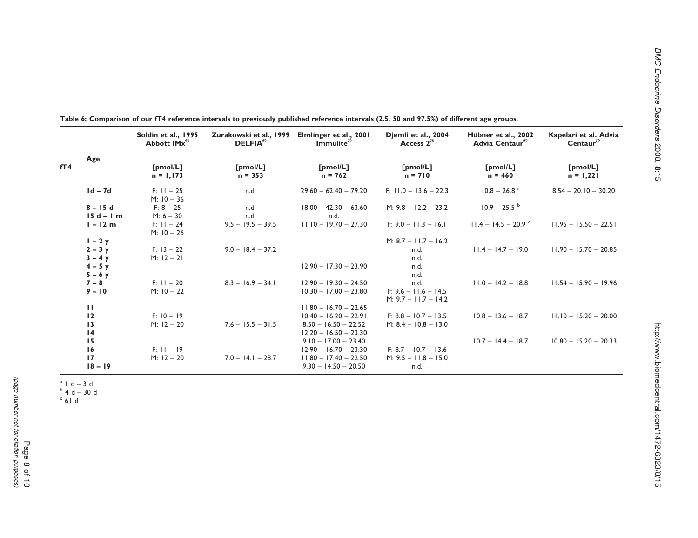|     |                         | Soldin et al., 1995<br>Abbott IMx <sup>®</sup> | Zurakowski et al., 1999<br>DELFIA <sup>®</sup> | Elmlinger et al., 2001<br>$Immulte^{\otimes}$ | Djemli et al., 2004<br>Access $2^{\circledR}$    | Hübner et al., 2002<br>Advia Centaur <sup>®</sup> | Kapelari et al. Advia<br>$Centaur^{\otimes}$ |
|-----|-------------------------|------------------------------------------------|------------------------------------------------|-----------------------------------------------|--------------------------------------------------|---------------------------------------------------|----------------------------------------------|
|     | Age                     |                                                |                                                |                                               |                                                  |                                                   |                                              |
| fT4 |                         | [pmol/L]<br>$n = 1,173$                        | [pmol/L]<br>$n = 353$                          | [pmol/L]<br>$n = 762$                         | [pmol/L]<br>$n = 710$                            | [pmol/L]<br>$n = 460$                             | [pmol/L]<br>$n = 1,221$                      |
|     | $Id - 7d$               | $F: 11 - 25$<br>$M: 10 - 36$                   | n.d.                                           | $29.60 - 62.40 - 79.20$                       | $F: 11.0 - 13.6 - 22.3$                          | $10.8 - 26.8$ <sup>a</sup>                        | $8.54 - 20.10 - 30.20$                       |
|     | $8 - 15d$<br>$15d - 1m$ | $F: 8 - 25$<br>$M: 6 - 30$                     | n.d.<br>n.d.                                   | $18.00 - 42.30 - 63.60$<br>n.d.               | M: $9.8 - 12.2 - 23.2$                           | $10.9 - 25.5$                                     |                                              |
|     | $l - 12m$               | $F: 11 - 24$<br>$M: 10 - 26$                   | $9.5 - 19.5 - 39.5$                            | $11.10 - 19.70 - 27.30$                       | $F: 9.0 - 11.3 - 16.1$                           | $11.4 - 14.5 - 20.9$                              | $11.95 - 15.50 - 22.51$                      |
|     | $1 - 2y$                |                                                |                                                |                                               | M: $8.7 - 11.7 - 16.2$                           |                                                   |                                              |
|     | $2 - 3y$<br>$3 - 4y$    | $F: 13 - 22$<br>$M: 12 - 21$                   | $9.0 - 18.4 - 37.2$                            |                                               | n.d.<br>n.d.                                     | $11.4 - 14.7 - 19.0$                              | $11.90 - 15.70 - 20.85$                      |
|     | $4 - 5y$<br>$5 - 6y$    |                                                |                                                | $12.90 - 17.30 - 23.90$                       | n.d.<br>n.d.                                     |                                                   |                                              |
|     | $7 - 8$                 | $F: 11 - 20$                                   | $8.3 - 16.9 - 34.1$                            | $12.90 - 19.30 - 24.50$                       | n.d.                                             | $11.0 - 14.2 - 18.8$                              | $11.54 - 15.90 - 19.96$                      |
|     | $9 - 10$                | $M: 10 - 22$                                   |                                                | $10.30 - 17.00 - 23.80$                       | $F: 9.6 - 11.6 - 14.5$<br>$M: 9.7 - 11.7 - 14.2$ |                                                   |                                              |
|     | ш                       |                                                |                                                | $11.80 - 16.70 - 22.65$                       |                                                  |                                                   |                                              |
|     | 12                      | $F: 10 - 19$                                   |                                                | $10.40 - 16.20 - 22.91$                       | $F: 8.8 - 10.7 - 13.5$                           | $10.8 - 13.6 - 18.7$                              | $11.10 - 15.20 - 20.00$                      |
|     | 13                      | $M: 12 - 20$                                   | $7.6 - 15.5 - 31.5$                            | $8.50 - 16.50 - 22.52$                        | M: $8.4 - 10.8 - 13.0$                           |                                                   |                                              |
|     | 4                       |                                                |                                                | $12.20 - 16.50 - 23.30$                       |                                                  |                                                   |                                              |
|     | 15                      |                                                |                                                | $9.10 - 17.00 - 23.40$                        |                                                  | $10.7 - 14.4 - 18.7$                              | $10.80 - 15.20 - 20.33$                      |
|     | 16                      | $F: 11 - 19$                                   |                                                | $12.90 - 16.70 - 23.30$                       | $F: 8.7 - 10.7 - 13.6$                           |                                                   |                                              |
|     | 17                      | $M: 12 - 20$                                   | $7.0 - 14.1 - 28.7$                            | $11.80 - 17.40 - 22.50$                       | $M: 9.5 - 11.8 - 15.0$                           |                                                   |                                              |
|     | $18 - 19$               |                                                |                                                | $9.30 - 14.50 - 20.50$                        | n.d.                                             |                                                   |                                              |

<span id="page-7-0"></span>Table 6: Comparison of our fT4 reference intervals to previously published reference intervals (2.5, 50 and 97.5%) of different age groups.

 $a + b + d - 3d$ <br>  $b + d - 30d$ <br>  $c + 6d$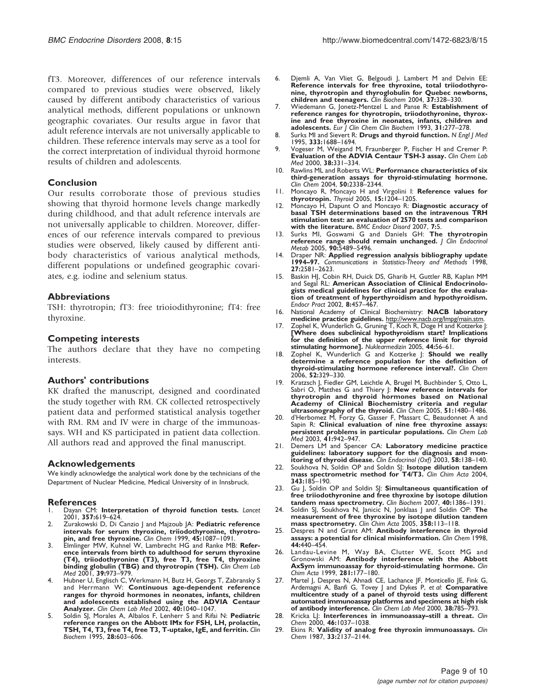<span id="page-8-0"></span>fT3. Moreover, differences of our reference intervals compared to previous studies were observed, likely caused by different antibody characteristics of various analytical methods, different populations or unknown geographic covariates. Our results argue in favor that adult reference intervals are not universally applicable to children. These reference intervals may serve as a tool for the correct interpretation of individual thyroid hormone results of children and adolescents.

# Conclusion

Our results corroborate those of previous studies showing that thyroid hormone levels change markedly during childhood, and that adult reference intervals are not universally applicable to children. Moreover, differences of our reference intervals compared to previous studies were observed, likely caused by different antibody characteristics of various analytical methods, different populations or undefined geographic covariates, e.g. iodine and selenium status.

# Abbreviations

TSH: thyrotropin; fT3: free trioiodithyronine; fT4: free thyroxine.

# Competing interests

The authors declare that they have no competing interests.

# Authors' contributions

KK drafted the manuscript, designed and coordinated the study together with RM. CK collected retrospectively patient data and performed statistical analysis together with RM. RM and IV were in charge of the immunoassays. WH and KS participated in patient data collection. All authors read and approved the final manuscript.

# Acknowledgements

We kindly acknowledge the analytical work done by the technicians of the Department of Nuclear Medicine, Medical University of in Innsbruck.

# **References**

- Dayan CM: [Interpretation of thyroid function tests.](http://www.ncbi.nlm.nih.gov/pubmed/11558500?dopt=Abstract) Lancet 2001, 357:619–624.
- Zurakowski D, Di Canzio J and Majzoub JA: [Pediatric reference](http://www.ncbi.nlm.nih.gov/pubmed/10388488?dopt=Abstract) [intervals for serum thyroxine, triiodothyronine, thyrotro](http://www.ncbi.nlm.nih.gov/pubmed/10388488?dopt=Abstract)[pin, and free thyroxine.](http://www.ncbi.nlm.nih.gov/pubmed/10388488?dopt=Abstract) Clin Chem 1999, 45:1087–1091.
- 3. Elmlinger MW, Kuhnel W, Lambrecht HG and Ranke MB: [Refer](http://www.ncbi.nlm.nih.gov/pubmed/11758614?dopt=Abstract)[ence intervals from birth to adulthood for serum thyroxine](http://www.ncbi.nlm.nih.gov/pubmed/11758614?dopt=Abstract) [\(T4\), triiodothyronine \(T3\), free T3, free T4, thyroxine](http://www.ncbi.nlm.nih.gov/pubmed/11758614?dopt=Abstract) **[binding globulin \(TBG\) and thyrotropin \(TSH\).](http://www.ncbi.nlm.nih.gov/pubmed/11758614?dopt=Abstract)** Clin Chem Lab<br>Med 2001, **39:**973–979.
- 4. Hubner U, Englisch C, Werkmann H, Butz H, Georgs T, Zabransky S and Herrmann W: [Continuous age-dependent reference](http://www.ncbi.nlm.nih.gov/pubmed/12476946?dopt=Abstract) [ranges for thyroid hormones in neonates, infants, children](http://www.ncbi.nlm.nih.gov/pubmed/12476946?dopt=Abstract) [and adolescents established using the ADVIA Centaur](http://www.ncbi.nlm.nih.gov/pubmed/12476946?dopt=Abstract) [Analyzer.](http://www.ncbi.nlm.nih.gov/pubmed/12476946?dopt=Abstract) Clin Chem Lab Med 2002, 40:1040–1047.
- 5. Soldin SJ, Morales A, Albalos F, Lenherr S and Rifai N: [Pediatric](http://www.ncbi.nlm.nih.gov/pubmed/8595709?dopt=Abstract) [reference ranges on the Abbott IMx for FSH, LH, prolactin,](http://www.ncbi.nlm.nih.gov/pubmed/8595709?dopt=Abstract) [TSH, T4, T3, free T4, free T3, T-uptake, IgE, and ferritin.](http://www.ncbi.nlm.nih.gov/pubmed/8595709?dopt=Abstract) Clin Biochem 1995, 28:603–606.
- 6. Djemli A, Van Vliet G, Belgoudi J, Lambert M and Delvin EE: [Reference intervals for free thyroxine, total triiodothyro](http://www.ncbi.nlm.nih.gov/pubmed/15003737?dopt=Abstract)[nine, thyrotropin and thyroglobulin for Quebec newborns,](http://www.ncbi.nlm.nih.gov/pubmed/15003737?dopt=Abstract) [children and teenagers.](http://www.ncbi.nlm.nih.gov/pubmed/15003737?dopt=Abstract) Clin Biochem 2004, 37:328–330.
- 7. Wiedemann G, Jonetz-Mentzel L and Panse R: [Establishment of](http://www.ncbi.nlm.nih.gov/pubmed/8357936?dopt=Abstract) [reference ranges for thyrotropin, triiodothyronine, thyrox](http://www.ncbi.nlm.nih.gov/pubmed/8357936?dopt=Abstract)[ine and free thyroxine in neonates, infants, children and](http://www.ncbi.nlm.nih.gov/pubmed/8357936?dopt=Abstract) [adolescents.](http://www.ncbi.nlm.nih.gov/pubmed/8357936?dopt=Abstract) Eur | Clin Chem Clin Biochem 1993, 31:277-278.
- 8. Surks MI and Sievert R: [Drugs and thyroid function.](http://www.ncbi.nlm.nih.gov/pubmed/7477223?dopt=Abstract) N Engl J Med 1995, 333:1688–1694.
- 9. Vogeser M, Weigand M, Fraunberger P, Fischer H and Cremer P: [Evaluation of the ADVIA Centaur TSH-3 assay.](http://www.ncbi.nlm.nih.gov/pubmed/10928654?dopt=Abstract) Clin Chem Lab Med 2000, 38:331–334.
- 10. Rawlins ML and Roberts WL: [Performance characteristics of six](http://www.ncbi.nlm.nih.gov/pubmed/15472032?dopt=Abstract) [third-generation assays for thyroid-stimulating hormone.](http://www.ncbi.nlm.nih.gov/pubmed/15472032?dopt=Abstract) Clin Chem 2004, 50:2338–2344.
- 11. Moncayo R, Moncayo H and Virgolini I: [Reference values for](http://www.ncbi.nlm.nih.gov/pubmed/16425442?dopt=Abstract) [thyrotropin.](http://www.ncbi.nlm.nih.gov/pubmed/16425442?dopt=Abstract) Thyroid 2005, 15:1204–1205.
- 12. Moncayo H, Dapunt O and Moncayo R: [Diagnostic accuracy of](http://www.ncbi.nlm.nih.gov/pubmed/17678551?dopt=Abstract) [basal TSH determinations based on the intravenous TRH](http://www.ncbi.nlm.nih.gov/pubmed/17678551?dopt=Abstract) [stimulation test: an evaluation of 2570 tests and comparison](http://www.ncbi.nlm.nih.gov/pubmed/17678551?dopt=Abstract) [with the literature.](http://www.ncbi.nlm.nih.gov/pubmed/17678551?dopt=Abstract) BMC Endocr Disord 2007, 7:5.
- 13. Surks MI, Goswami G and Daniels GH: [The thyrotropin](http://www.ncbi.nlm.nih.gov/pubmed/16148346?dopt=Abstract)<br>[reference range should remain unchanged.](http://www.ncbi.nlm.nih.gov/pubmed/16148346?dopt=Abstract) J Clin Endocrino Metab 2005, 90:5489–5496.
- 14. Draper NR: **Applied regression analysis bibliography update**<br>1994–97. Communications in Statistics-Theory and Methods 1998. 27:2581–2623.
- 15. Baskin HJ, Cobin RH, Duick DS, Gharib H, Guttler RB, Kaplan MM and Segal RL: [American Association of Clinical Endocrinolo](http://www.ncbi.nlm.nih.gov/pubmed/15260011?dopt=Abstract)[gists medical guidelines for clinical practice for the evalua](http://www.ncbi.nlm.nih.gov/pubmed/15260011?dopt=Abstract)[tion of treatment of hyperthyroidism and hypothyroidism.](http://www.ncbi.nlm.nih.gov/pubmed/15260011?dopt=Abstract) Endocr Pract 2002, 8:457–467.
- 16. National Academy of Clinical Biochemistry: NACB laboratory medicine practice guidelines. [http://www.nacb.org/lmpg/main.stm.](http://www.nacb.org/lmpg/main.stm)
- 17. Zophel K, Wunderlich G, Gruning T, Koch R, Doge H and Kotzerke J:<br>[\[Where does subclinical hypothyroidism start? Implications](http://www.ncbi.nlm.nih.gov/pubmed/15861273?dopt=Abstract) [for the definition of the upper reference limit for thyroid](http://www.ncbi.nlm.nih.gov/pubmed/15861273?dopt=Abstract) [stimulating hormone\].](http://www.ncbi.nlm.nih.gov/pubmed/15861273?dopt=Abstract) Nuklearmedizin 2005, 44:56–61.
- 18. Zophel K, Wunderlich G and Kotzerke J: [Should we really](http://www.ncbi.nlm.nih.gov/pubmed/16449219?dopt=Abstract) [determine a reference population for the definition of](http://www.ncbi.nlm.nih.gov/pubmed/16449219?dopt=Abstract) [thyroid-stimulating hormone reference interval?.](http://www.ncbi.nlm.nih.gov/pubmed/16449219?dopt=Abstract) Clin Chem 2006, 52:329–330.
- 19. Kratzsch J, Fiedler GM, Leichtle A, Brugel M, Buchbinder S, Otto L, Sabri O, Matthes G and Thiery J: [New reference intervals for](http://www.ncbi.nlm.nih.gov/pubmed/15961550?dopt=Abstract) [thyrotropin and thyroid hormones based on National](http://www.ncbi.nlm.nih.gov/pubmed/15961550?dopt=Abstract) [Academy of Clinical Biochemistry criteria and regular](http://www.ncbi.nlm.nih.gov/pubmed/15961550?dopt=Abstract) [ultrasonography of the thyroid.](http://www.ncbi.nlm.nih.gov/pubmed/15961550?dopt=Abstract) Clin Chem 2005, 51:1480-1486.
- 20. d'Herbomez M, Forzy G, Gasser F, Massart C, Beaudonnet A and Sapin R: [Clinical evaluation of nine free thyroxine assays:](http://www.ncbi.nlm.nih.gov/pubmed/12940522?dopt=Abstract) [persistent problems in particular populations.](http://www.ncbi.nlm.nih.gov/pubmed/12940522?dopt=Abstract) Clin Chem Lab Med 2003, 41:942–947.
- 21. Demers LM and Spencer CA: [Laboratory medicine practice](http://www.ncbi.nlm.nih.gov/pubmed/12580927?dopt=Abstract) [guidelines: laboratory support for the diagnosis and mon](http://www.ncbi.nlm.nih.gov/pubmed/12580927?dopt=Abstract)[itoring of thyroid disease.](http://www.ncbi.nlm.nih.gov/pubmed/12580927?dopt=Abstract) Clin Endocrinol  $(Oxf)$  2003, 58:138-140.
- 22. Soukhova N, Soldin OP and Soldin SJ: [Isotope dilution tandem](http://www.ncbi.nlm.nih.gov/pubmed/15115693?dopt=Abstract) [mass spectrometric method for T4/T3.](http://www.ncbi.nlm.nih.gov/pubmed/15115693?dopt=Abstract) Clin Chim Acta 2004, 343:185–190.
- 23. Gu J, Soldin OP and Soldin SJ: [Simultaneous quantification of](http://www.ncbi.nlm.nih.gov/pubmed/17936741?dopt=Abstract) [free triiodothyronine and free thyroxine by isotope dilution](http://www.ncbi.nlm.nih.gov/pubmed/17936741?dopt=Abstract) [tandem mass spectrometry.](http://www.ncbi.nlm.nih.gov/pubmed/17936741?dopt=Abstract) Clin Biochem 2007, 40:1386–1391.
- 24. Soldin SJ, Soukhova N, Janicic N, Jonklaas J and Soldin OP: [The](http://www.ncbi.nlm.nih.gov/pubmed/16018881?dopt=Abstract) [measurement of free thyroxine by isotope dilution tandem](http://www.ncbi.nlm.nih.gov/pubmed/16018881?dopt=Abstract) [mass spectrometry.](http://www.ncbi.nlm.nih.gov/pubmed/16018881?dopt=Abstract) Clin Chim Acta 2005, 358:113-118.
- 25. Despres N and Grant AM: **[Antibody interference in thyroid](http://www.ncbi.nlm.nih.gov/pubmed/9510847?dopt=Abstract)**<br>[assays: a potential for clinical misinformation.](http://www.ncbi.nlm.nih.gov/pubmed/9510847?dopt=Abstract) Clin Chem 1998. 44:440–454.
- 26. Landau-Levine M, Way BA, Clutter WE, Scott MG and Gronowski AM: [Antibody interference with the Abbott](http://www.ncbi.nlm.nih.gov/pubmed/10217639?dopt=Abstract) [AxSym immunoassay for thyroid-stimulating hormone.](http://www.ncbi.nlm.nih.gov/pubmed/10217639?dopt=Abstract) Clin Chim Acta 1999, 281:177–180.
- 27. Martel J, Despres N, Ahnadi CE, Lachance JF, Monticello JE, Fink G,<br>Ardemagni A, Banfi G, Tovey J and Dykes P, et *al*: **[Comparative](http://www.ncbi.nlm.nih.gov/pubmed/11071074?dopt=Abstract)** [multicentre study of a panel of thyroid tests using different](http://www.ncbi.nlm.nih.gov/pubmed/11071074?dopt=Abstract) [automated immunoassay platforms and specimens at high risk](http://www.ncbi.nlm.nih.gov/pubmed/11071074?dopt=Abstract) [of antibody interference.](http://www.ncbi.nlm.nih.gov/pubmed/11071074?dopt=Abstract) Clin Chem Lab Med 2000, 38:785–793.
- 28. Kricka LJ: [Interferences in immunoassay](http://www.ncbi.nlm.nih.gov/pubmed/10926879?dopt=Abstract)-still a threat. Clin Chem 2000, 46:1037–1038.
- 29. Ekins R: [Validity of analog free thyroxin immunoassays.](http://www.ncbi.nlm.nih.gov/pubmed/3121212?dopt=Abstract) Clin Chem 1987, 33:2137–2144.